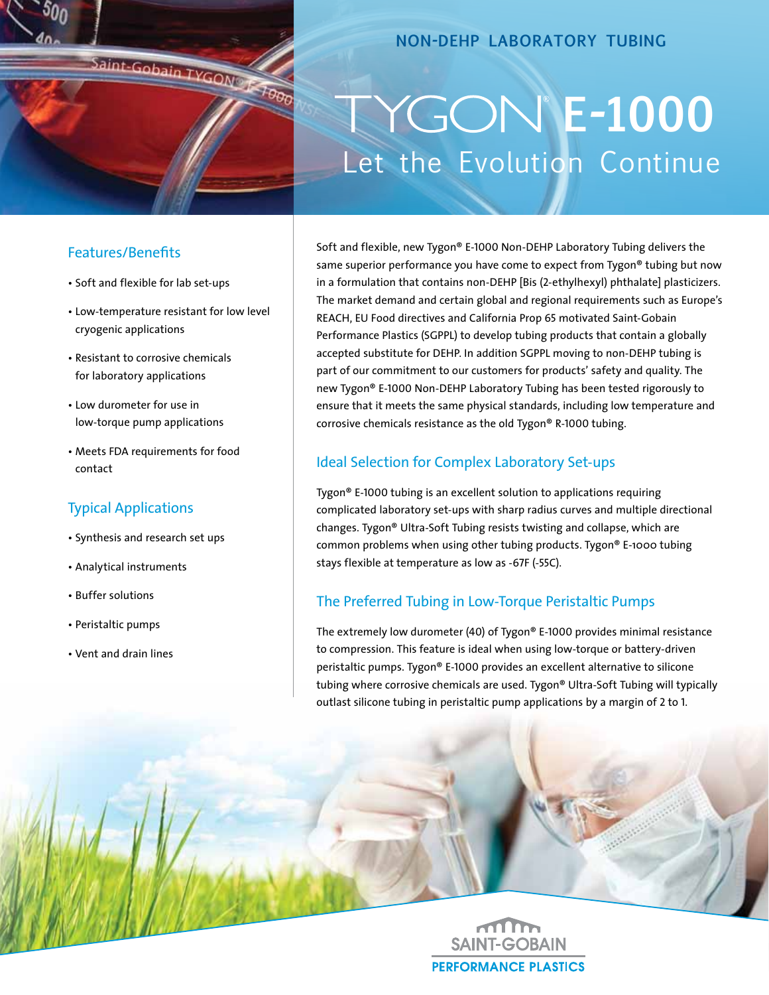

# **non-dehp laboratory tubing**

# Let the Evolution Continue **E-1000**

### Features/Benefits

- Soft and flexible for lab set-ups
- Low-temperature resistant for low level cryogenic applications
- Resistant to corrosive chemicals for laboratory applications
- Low durometer for use in low-torque pump applications
- Meets FDA requirements for food contact

# Typical Applications

- Synthesis and research set ups
- Analytical instruments
- Buffer solutions
- Peristaltic pumps
- Vent and drain lines

Soft and flexible, new Tygon® E-1000 Non-DEHP Laboratory Tubing delivers the same superior performance you have come to expect from Tygon® tubing but now in a formulation that contains non-DEHP [Bis (2-ethylhexyl) phthalate] plasticizers. The market demand and certain global and regional requirements such as Europe's REACH, EU Food directives and California Prop 65 motivated Saint-Gobain Performance Plastics (SGPPL) to develop tubing products that contain a globally accepted substitute for DEHP. In addition SGPPL moving to non-DEHP tubing is part of our commitment to our customers for products' safety and quality. The new Tygon® E-1000 Non-DEHP Laboratory Tubing has been tested rigorously to ensure that it meets the same physical standards, including low temperature and corrosive chemicals resistance as the old Tygon® R-1000 tubing.

# Ideal Selection for Complex Laboratory Set-ups

Tygon® E-1000 tubing is an excellent solution to applications requiring complicated laboratory set-ups with sharp radius curves and multiple directional changes. Tygon® Ultra-Soft Tubing resists twisting and collapse, which are common problems when using other tubing products. Tygon® E-1000 tubing stays flexible at temperature as low as -67F (-55C).

# The Preferred Tubing in Low-Torque Peristaltic Pumps

The extremely low durometer (40) of Tygon® E-1000 provides minimal resistance to compression. This feature is ideal when using low-torque or battery-driven peristaltic pumps. Tygon® E-1000 provides an excellent alternative to silicone tubing where corrosive chemicals are used. Tygon® Ultra-Soft Tubing will typically outlast silicone tubing in peristaltic pump applications by a margin of 2 to 1.

> **SAINT-GOBAIN PERFORMANCE PLASTICS**